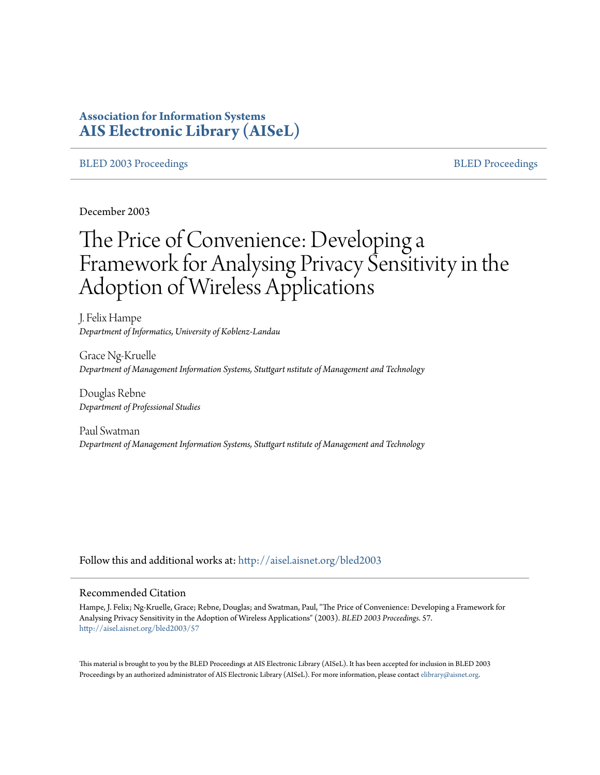# **Association for Information Systems [AIS Electronic Library \(AISeL\)](http://aisel.aisnet.org?utm_source=aisel.aisnet.org%2Fbled2003%2F57&utm_medium=PDF&utm_campaign=PDFCoverPages)**

## [BLED 2003 Proceedings](http://aisel.aisnet.org/bled2003?utm_source=aisel.aisnet.org%2Fbled2003%2F57&utm_medium=PDF&utm_campaign=PDFCoverPages) and the state of the state of the [BLED Proceedings](http://aisel.aisnet.org/bled?utm_source=aisel.aisnet.org%2Fbled2003%2F57&utm_medium=PDF&utm_campaign=PDFCoverPages) and the BLED Proceedings and the BLED Proceedings and the BLED Proceedings and the BLED Proceedings and the BLED Proceedings and the BLED Proceedings

December 2003

# The Price of Convenience: Developing a Framework for Analysing Privacy Sensitivity in the Adoption of Wireless Applications

J. Felix Hampe *Department of Informatics, University of Koblenz-Landau*

Grace Ng-Kruelle *Department of Management Information Systems, Stuttgart nstitute of Management and Technology*

Douglas Rebne *Department of Professional Studies*

Paul Swatman *Department of Management Information Systems, Stuttgart nstitute of Management and Technology*

Follow this and additional works at: [http://aisel.aisnet.org/bled2003](http://aisel.aisnet.org/bled2003?utm_source=aisel.aisnet.org%2Fbled2003%2F57&utm_medium=PDF&utm_campaign=PDFCoverPages)

#### Recommended Citation

Hampe, J. Felix; Ng-Kruelle, Grace; Rebne, Douglas; and Swatman, Paul, "The Price of Convenience: Developing a Framework for Analysing Privacy Sensitivity in the Adoption of Wireless Applications" (2003). *BLED 2003 Proceedings*. 57. [http://aisel.aisnet.org/bled2003/57](http://aisel.aisnet.org/bled2003/57?utm_source=aisel.aisnet.org%2Fbled2003%2F57&utm_medium=PDF&utm_campaign=PDFCoverPages)

This material is brought to you by the BLED Proceedings at AIS Electronic Library (AISeL). It has been accepted for inclusion in BLED 2003 Proceedings by an authorized administrator of AIS Electronic Library (AISeL). For more information, please contact [elibrary@aisnet.org](mailto:elibrary@aisnet.org%3E).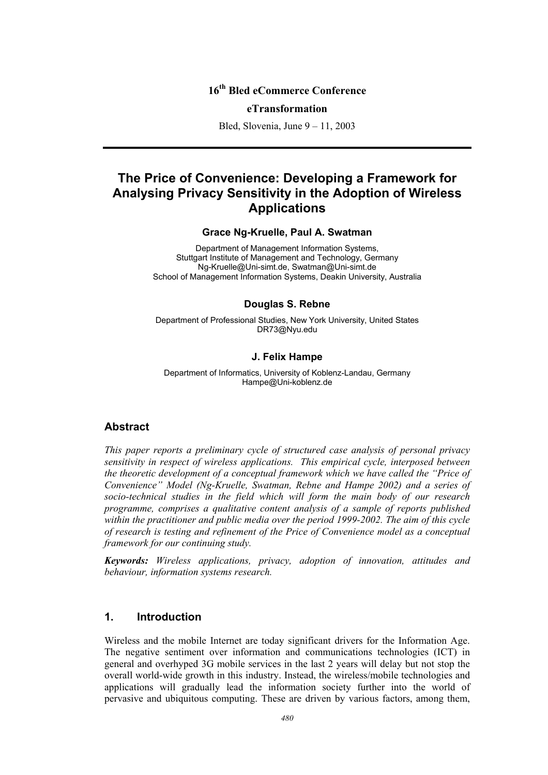# **16th Bled eCommerce Conference**

#### **eTransformation**

Bled, Slovenia, June 9 – 11, 2003

# **The Price of Convenience: Developing a Framework for Analysing Privacy Sensitivity in the Adoption of Wireless Applications**

**Grace Ng-Kruelle, Paul A. Swatman** 

Department of Management Information Systems, Stuttgart Institute of Management and Technology, Germany Ng-Kruelle@Uni-simt.de, Swatman@Uni-simt.de School of Management Information Systems, Deakin University, Australia

#### **Douglas S. Rebne**

Department of Professional Studies, New York University, United States DR73@Nyu.edu

#### **J. Felix Hampe**

Department of Informatics, University of Koblenz-Landau, Germany Hampe@Uni-koblenz.de

### **Abstract**

*This paper reports a preliminary cycle of structured case analysis of personal privacy sensitivity in respect of wireless applications. This empirical cycle, interposed between the theoretic development of a conceptual framework which we have called the "Price of Convenience" Model (Ng-Kruelle, Swatman, Rebne and Hampe 2002) and a series of socio-technical studies in the field which will form the main body of our research programme, comprises a qualitative content analysis of a sample of reports published within the practitioner and public media over the period 1999-2002. The aim of this cycle of research is testing and refinement of the Price of Convenience model as a conceptual framework for our continuing study.* 

*Keywords: Wireless applications, privacy, adoption of innovation, attitudes and behaviour, information systems research.* 

## **1. Introduction**

Wireless and the mobile Internet are today significant drivers for the Information Age. The negative sentiment over information and communications technologies (ICT) in general and overhyped 3G mobile services in the last 2 years will delay but not stop the overall world-wide growth in this industry. Instead, the wireless/mobile technologies and applications will gradually lead the information society further into the world of pervasive and ubiquitous computing. These are driven by various factors, among them,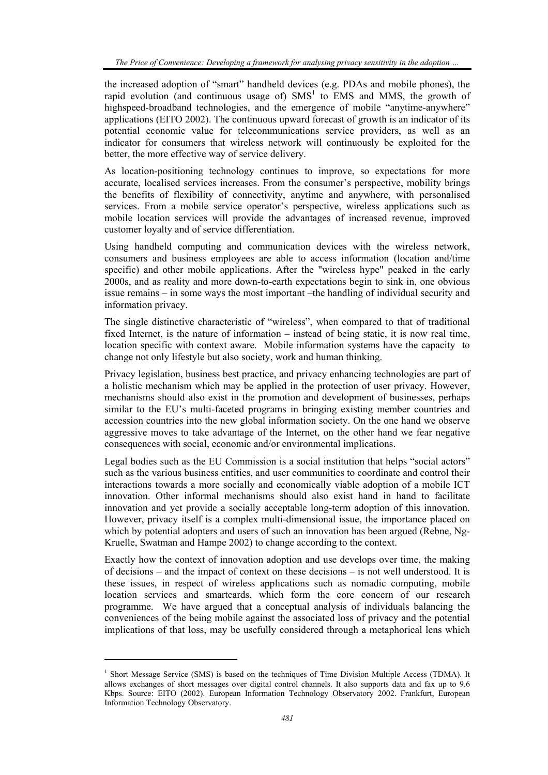the increased adoption of "smart" handheld devices (e.g. PDAs and mobile phones), the rapid evolution (and continuous usage of)  $SMS<sup>1</sup>$  to EMS and MMS, the growth of highspeed-broadband technologies, and the emergence of mobile "anytime-anywhere" applications (EITO 2002). The continuous upward forecast of growth is an indicator of its potential economic value for telecommunications service providers, as well as an indicator for consumers that wireless network will continuously be exploited for the better, the more effective way of service delivery.

As location-positioning technology continues to improve, so expectations for more accurate, localised services increases. From the consumer's perspective, mobility brings the benefits of flexibility of connectivity, anytime and anywhere, with personalised services. From a mobile service operator's perspective, wireless applications such as mobile location services will provide the advantages of increased revenue, improved customer loyalty and of service differentiation.

Using handheld computing and communication devices with the wireless network, consumers and business employees are able to access information (location and/time specific) and other mobile applications. After the "wireless hype" peaked in the early 2000s, and as reality and more down-to-earth expectations begin to sink in, one obvious issue remains – in some ways the most important –the handling of individual security and information privacy.

The single distinctive characteristic of "wireless", when compared to that of traditional fixed Internet, is the nature of information – instead of being static, it is now real time, location specific with context aware. Mobile information systems have the capacity to change not only lifestyle but also society, work and human thinking.

Privacy legislation, business best practice, and privacy enhancing technologies are part of a holistic mechanism which may be applied in the protection of user privacy. However, mechanisms should also exist in the promotion and development of businesses, perhaps similar to the EU's multi-faceted programs in bringing existing member countries and accession countries into the new global information society. On the one hand we observe aggressive moves to take advantage of the Internet, on the other hand we fear negative consequences with social, economic and/or environmental implications.

Legal bodies such as the EU Commission is a social institution that helps "social actors" such as the various business entities, and user communities to coordinate and control their interactions towards a more socially and economically viable adoption of a mobile ICT innovation. Other informal mechanisms should also exist hand in hand to facilitate innovation and yet provide a socially acceptable long-term adoption of this innovation. However, privacy itself is a complex multi-dimensional issue, the importance placed on which by potential adopters and users of such an innovation has been argued (Rebne, Ng-Kruelle, Swatman and Hampe 2002) to change according to the context.

Exactly how the context of innovation adoption and use develops over time, the making of decisions – and the impact of context on these decisions – is not well understood. It is these issues, in respect of wireless applications such as nomadic computing, mobile location services and smartcards, which form the core concern of our research programme. We have argued that a conceptual analysis of individuals balancing the conveniences of the being mobile against the associated loss of privacy and the potential implications of that loss, may be usefully considered through a metaphorical lens which

l

<sup>&</sup>lt;sup>1</sup> Short Message Service (SMS) is based on the techniques of Time Division Multiple Access (TDMA). It allows exchanges of short messages over digital control channels. It also supports data and fax up to 9.6 Kbps. Source: EITO (2002). European Information Technology Observatory 2002. Frankfurt, European Information Technology Observatory.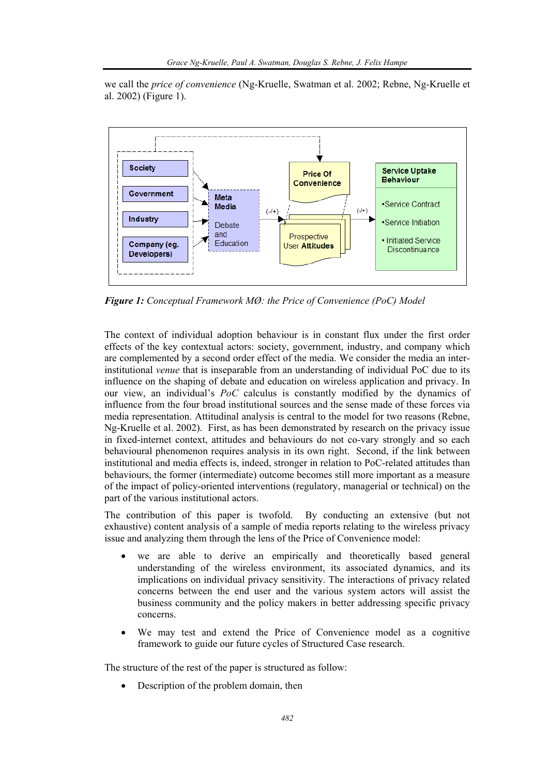we call the *price of convenience* (Ng-Kruelle, Swatman et al. 2002; Rebne, Ng-Kruelle et al. 2002) (Figure 1).



*Figure 1: Conceptual Framework MØ: the Price of Convenience (PoC) Model*

The context of individual adoption behaviour is in constant flux under the first order effects of the key contextual actors: society, government, industry, and company which are complemented by a second order effect of the media. We consider the media an interinstitutional *venue* that is inseparable from an understanding of individual PoC due to its influence on the shaping of debate and education on wireless application and privacy. In our view, an individual's *PoC* calculus is constantly modified by the dynamics of influence from the four broad institutional sources and the sense made of these forces via media representation. Attitudinal analysis is central to the model for two reasons (Rebne, Ng-Kruelle et al. 2002). First, as has been demonstrated by research on the privacy issue in fixed-internet context, attitudes and behaviours do not co-vary strongly and so each behavioural phenomenon requires analysis in its own right. Second, if the link between institutional and media effects is, indeed, stronger in relation to PoC-related attitudes than behaviours, the former (intermediate) outcome becomes still more important as a measure of the impact of policy-oriented interventions (regulatory, managerial or technical) on the part of the various institutional actors.

The contribution of this paper is twofold. By conducting an extensive (but not exhaustive) content analysis of a sample of media reports relating to the wireless privacy issue and analyzing them through the lens of the Price of Convenience model:

- we are able to derive an empirically and theoretically based general understanding of the wireless environment, its associated dynamics, and its implications on individual privacy sensitivity. The interactions of privacy related concerns between the end user and the various system actors will assist the business community and the policy makers in better addressing specific privacy concerns.
- We may test and extend the Price of Convenience model as a cognitive framework to guide our future cycles of Structured Case research.

The structure of the rest of the paper is structured as follow:

Description of the problem domain, then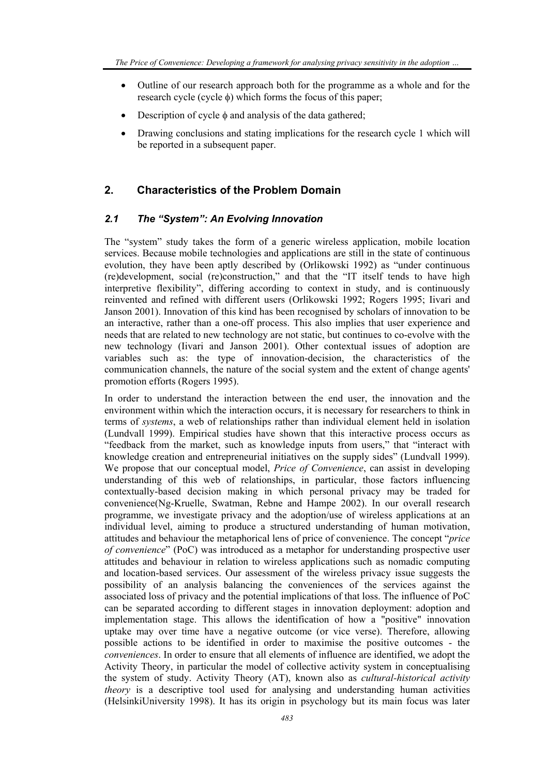- Outline of our research approach both for the programme as a whole and for the research cycle (cycle φ) which forms the focus of this paper;
- Description of cycle  $\phi$  and analysis of the data gathered;
- Drawing conclusions and stating implications for the research cycle 1 which will be reported in a subsequent paper.

# **2. Characteristics of the Problem Domain**

## *2.1 The "System": An Evolving Innovation*

The "system" study takes the form of a generic wireless application, mobile location services. Because mobile technologies and applications are still in the state of continuous evolution, they have been aptly described by (Orlikowski 1992) as "under continuous (re)development, social (re)construction," and that the "IT itself tends to have high interpretive flexibility", differing according to context in study, and is continuously reinvented and refined with different users (Orlikowski 1992; Rogers 1995; Iivari and Janson 2001). Innovation of this kind has been recognised by scholars of innovation to be an interactive, rather than a one-off process. This also implies that user experience and needs that are related to new technology are not static, but continues to co-evolve with the new technology (Iivari and Janson 2001). Other contextual issues of adoption are variables such as: the type of innovation-decision, the characteristics of the communication channels, the nature of the social system and the extent of change agents' promotion efforts (Rogers 1995).

In order to understand the interaction between the end user, the innovation and the environment within which the interaction occurs, it is necessary for researchers to think in terms of *systems*, a web of relationships rather than individual element held in isolation (Lundvall 1999). Empirical studies have shown that this interactive process occurs as "feedback from the market, such as knowledge inputs from users," that "interact with knowledge creation and entrepreneurial initiatives on the supply sides" (Lundvall 1999). We propose that our conceptual model, *Price of Convenience*, can assist in developing understanding of this web of relationships, in particular, those factors influencing contextually-based decision making in which personal privacy may be traded for convenience(Ng-Kruelle, Swatman, Rebne and Hampe 2002). In our overall research programme, we investigate privacy and the adoption/use of wireless applications at an individual level, aiming to produce a structured understanding of human motivation, attitudes and behaviour the metaphorical lens of price of convenience. The concept "*price of convenience*" (PoC) was introduced as a metaphor for understanding prospective user attitudes and behaviour in relation to wireless applications such as nomadic computing and location-based services. Our assessment of the wireless privacy issue suggests the possibility of an analysis balancing the conveniences of the services against the associated loss of privacy and the potential implications of that loss. The influence of PoC can be separated according to different stages in innovation deployment: adoption and implementation stage. This allows the identification of how a "positive" innovation uptake may over time have a negative outcome (or vice verse). Therefore, allowing possible actions to be identified in order to maximise the positive outcomes - the *conveniences*. In order to ensure that all elements of influence are identified, we adopt the Activity Theory, in particular the model of collective activity system in conceptualising the system of study. Activity Theory (AT), known also as *cultural-historical activity theory* is a descriptive tool used for analysing and understanding human activities (HelsinkiUniversity 1998). It has its origin in psychology but its main focus was later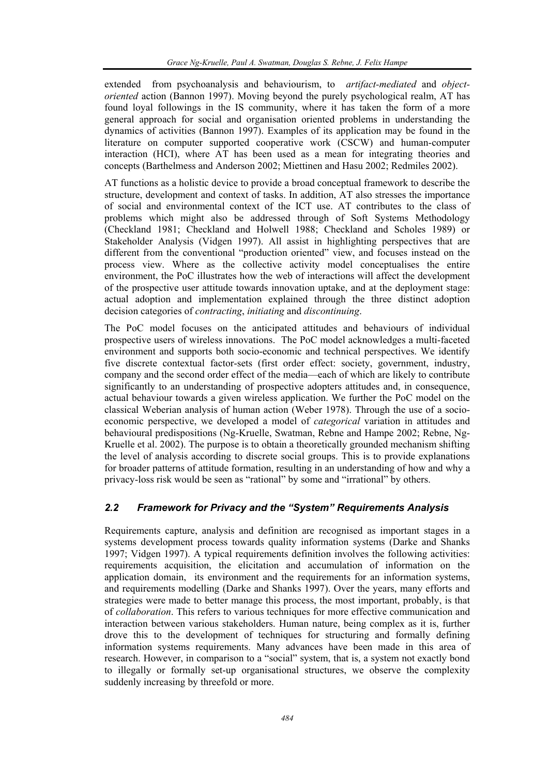extended from psychoanalysis and behaviourism, to *artifact-mediated* and *objectoriented* action (Bannon 1997). Moving beyond the purely psychological realm, AT has found loyal followings in the IS community, where it has taken the form of a more general approach for social and organisation oriented problems in understanding the dynamics of activities (Bannon 1997). Examples of its application may be found in the literature on computer supported cooperative work (CSCW) and human-computer interaction (HCI), where AT has been used as a mean for integrating theories and concepts (Barthelmess and Anderson 2002; Miettinen and Hasu 2002; Redmiles 2002).

AT functions as a holistic device to provide a broad conceptual framework to describe the structure, development and context of tasks. In addition, AT also stresses the importance of social and environmental context of the ICT use. AT contributes to the class of problems which might also be addressed through of Soft Systems Methodology (Checkland 1981; Checkland and Holwell 1988; Checkland and Scholes 1989) or Stakeholder Analysis (Vidgen 1997). All assist in highlighting perspectives that are different from the conventional "production oriented" view, and focuses instead on the process view. Where as the collective activity model conceptualises the entire environment, the PoC illustrates how the web of interactions will affect the development of the prospective user attitude towards innovation uptake, and at the deployment stage: actual adoption and implementation explained through the three distinct adoption decision categories of *contracting*, *initiating* and *discontinuing*.

The PoC model focuses on the anticipated attitudes and behaviours of individual prospective users of wireless innovations. The PoC model acknowledges a multi-faceted environment and supports both socio-economic and technical perspectives. We identify five discrete contextual factor-sets (first order effect: society, government, industry, company and the second order effect of the media—each of which are likely to contribute significantly to an understanding of prospective adopters attitudes and, in consequence, actual behaviour towards a given wireless application. We further the PoC model on the classical Weberian analysis of human action (Weber 1978). Through the use of a socioeconomic perspective, we developed a model of *categorical* variation in attitudes and behavioural predispositions (Ng-Kruelle, Swatman, Rebne and Hampe 2002; Rebne, Ng-Kruelle et al. 2002). The purpose is to obtain a theoretically grounded mechanism shifting the level of analysis according to discrete social groups. This is to provide explanations for broader patterns of attitude formation, resulting in an understanding of how and why a privacy-loss risk would be seen as "rational" by some and "irrational" by others.

### *2.2 Framework for Privacy and the "System" Requirements Analysis*

Requirements capture, analysis and definition are recognised as important stages in a systems development process towards quality information systems (Darke and Shanks 1997; Vidgen 1997). A typical requirements definition involves the following activities: requirements acquisition, the elicitation and accumulation of information on the application domain, its environment and the requirements for an information systems, and requirements modelling (Darke and Shanks 1997). Over the years, many efforts and strategies were made to better manage this process, the most important, probably, is that of *collaboration*. This refers to various techniques for more effective communication and interaction between various stakeholders. Human nature, being complex as it is, further drove this to the development of techniques for structuring and formally defining information systems requirements. Many advances have been made in this area of research. However, in comparison to a "social" system, that is, a system not exactly bond to illegally or formally set-up organisational structures, we observe the complexity suddenly increasing by threefold or more.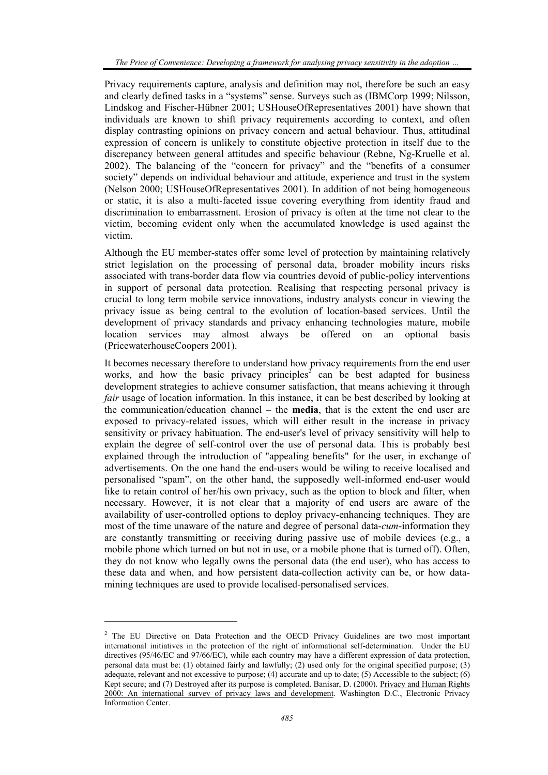Privacy requirements capture, analysis and definition may not, therefore be such an easy and clearly defined tasks in a "systems" sense. Surveys such as (IBMCorp 1999; Nilsson, Lindskog and Fischer-Hübner 2001; USHouseOfRepresentatives 2001) have shown that individuals are known to shift privacy requirements according to context, and often display contrasting opinions on privacy concern and actual behaviour. Thus, attitudinal expression of concern is unlikely to constitute objective protection in itself due to the discrepancy between general attitudes and specific behaviour (Rebne, Ng-Kruelle et al. 2002). The balancing of the "concern for privacy" and the "benefits of a consumer society" depends on individual behaviour and attitude, experience and trust in the system (Nelson 2000; USHouseOfRepresentatives 2001). In addition of not being homogeneous or static, it is also a multi-faceted issue covering everything from identity fraud and discrimination to embarrassment. Erosion of privacy is often at the time not clear to the victim, becoming evident only when the accumulated knowledge is used against the victim.

Although the EU member-states offer some level of protection by maintaining relatively strict legislation on the processing of personal data, broader mobility incurs risks associated with trans-border data flow via countries devoid of public-policy interventions in support of personal data protection. Realising that respecting personal privacy is crucial to long term mobile service innovations, industry analysts concur in viewing the privacy issue as being central to the evolution of location-based services. Until the development of privacy standards and privacy enhancing technologies mature, mobile location services may almost always be offered on an optional basis (PricewaterhouseCoopers 2001).

It becomes necessary therefore to understand how privacy requirements from the end user works, and how the basic privacy principles<sup>2</sup> can be best adapted for business development strategies to achieve consumer satisfaction, that means achieving it through *fair* usage of location information. In this instance, it can be best described by looking at the communication/education channel – the **media**, that is the extent the end user are exposed to privacy-related issues, which will either result in the increase in privacy sensitivity or privacy habituation. The end-user's level of privacy sensitivity will help to explain the degree of self-control over the use of personal data. This is probably best explained through the introduction of "appealing benefits" for the user, in exchange of advertisements. On the one hand the end-users would be wiling to receive localised and personalised "spam", on the other hand, the supposedly well-informed end-user would like to retain control of her/his own privacy, such as the option to block and filter, when necessary. However, it is not clear that a majority of end users are aware of the availability of user-controlled options to deploy privacy-enhancing techniques. They are most of the time unaware of the nature and degree of personal data-*cum*-information they are constantly transmitting or receiving during passive use of mobile devices (e.g., a mobile phone which turned on but not in use, or a mobile phone that is turned off). Often, they do not know who legally owns the personal data (the end user), who has access to these data and when, and how persistent data-collection activity can be, or how datamining techniques are used to provide localised-personalised services.

l

<sup>&</sup>lt;sup>2</sup> The EU Directive on Data Protection and the OECD Privacy Guidelines are two most important international initiatives in the protection of the right of informational self-determination. Under the EU directives (95/46/EC and 97/66/EC), while each country may have a different expression of data protection, personal data must be: (1) obtained fairly and lawfully; (2) used only for the original specified purpose; (3) adequate, relevant and not excessive to purpose; (4) accurate and up to date; (5) Accessible to the subject; (6) Kept secure; and (7) Destroyed after its purpose is completed. Banisar, D. (2000). Privacy and Human Rights 2000: An international survey of privacy laws and development. Washington D.C., Electronic Privacy Information Center.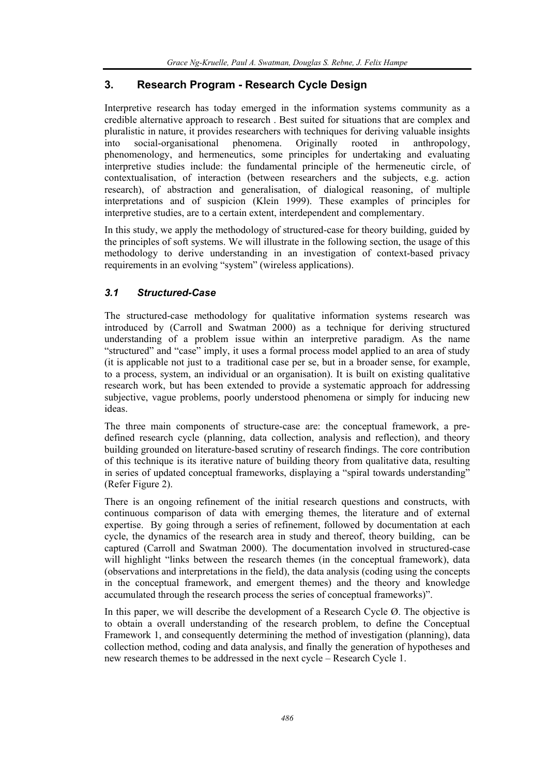# **3. Research Program - Research Cycle Design**

Interpretive research has today emerged in the information systems community as a credible alternative approach to research . Best suited for situations that are complex and pluralistic in nature, it provides researchers with techniques for deriving valuable insights into social-organisational phenomena. Originally rooted in anthropology, phenomenology, and hermeneutics, some principles for undertaking and evaluating interpretive studies include: the fundamental principle of the hermeneutic circle, of contextualisation, of interaction (between researchers and the subjects, e.g. action research), of abstraction and generalisation, of dialogical reasoning, of multiple interpretations and of suspicion (Klein 1999). These examples of principles for interpretive studies, are to a certain extent, interdependent and complementary.

In this study, we apply the methodology of structured-case for theory building, guided by the principles of soft systems. We will illustrate in the following section, the usage of this methodology to derive understanding in an investigation of context-based privacy requirements in an evolving "system" (wireless applications).

# *3.1 Structured-Case*

The structured-case methodology for qualitative information systems research was introduced by (Carroll and Swatman 2000) as a technique for deriving structured understanding of a problem issue within an interpretive paradigm. As the name "structured" and "case" imply, it uses a formal process model applied to an area of study (it is applicable not just to a traditional case per se, but in a broader sense, for example, to a process, system, an individual or an organisation). It is built on existing qualitative research work, but has been extended to provide a systematic approach for addressing subjective, vague problems, poorly understood phenomena or simply for inducing new ideas.

The three main components of structure-case are: the conceptual framework, a predefined research cycle (planning, data collection, analysis and reflection), and theory building grounded on literature-based scrutiny of research findings. The core contribution of this technique is its iterative nature of building theory from qualitative data, resulting in series of updated conceptual frameworks, displaying a "spiral towards understanding" (Refer Figure 2).

There is an ongoing refinement of the initial research questions and constructs, with continuous comparison of data with emerging themes, the literature and of external expertise. By going through a series of refinement, followed by documentation at each cycle, the dynamics of the research area in study and thereof, theory building, can be captured (Carroll and Swatman 2000). The documentation involved in structured-case will highlight "links between the research themes (in the conceptual framework), data (observations and interpretations in the field), the data analysis (coding using the concepts in the conceptual framework, and emergent themes) and the theory and knowledge accumulated through the research process the series of conceptual frameworks)".

In this paper, we will describe the development of a Research Cycle  $\emptyset$ . The objective is to obtain a overall understanding of the research problem, to define the Conceptual Framework 1, and consequently determining the method of investigation (planning), data collection method, coding and data analysis, and finally the generation of hypotheses and new research themes to be addressed in the next cycle – Research Cycle 1.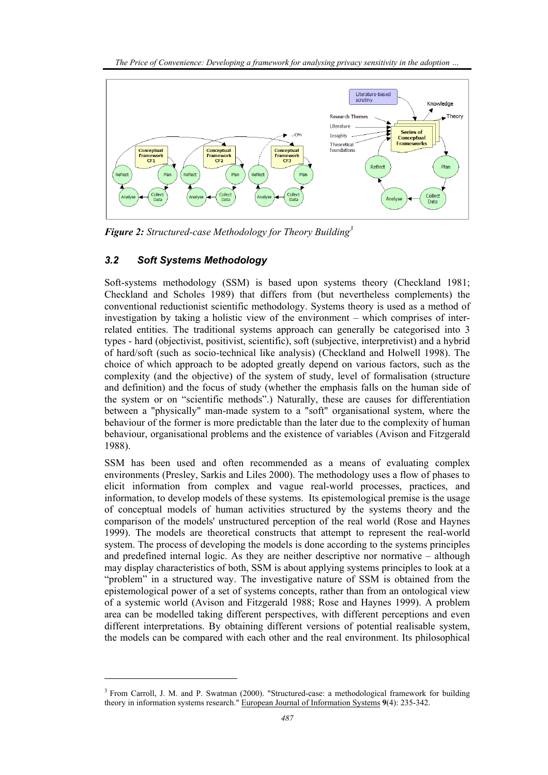

*Figure 2: Structured-case Methodology for Theory Building<sup>3</sup>* 

# *3.2 Soft Systems Methodology*

l

Soft-systems methodology (SSM) is based upon systems theory (Checkland 1981; Checkland and Scholes 1989) that differs from (but nevertheless complements) the conventional reductionist scientific methodology. Systems theory is used as a method of investigation by taking a holistic view of the environment – which comprises of interrelated entities. The traditional systems approach can generally be categorised into 3 types - hard (objectivist, positivist, scientific), soft (subjective, interpretivist) and a hybrid of hard/soft (such as socio-technical like analysis) (Checkland and Holwell 1998). The choice of which approach to be adopted greatly depend on various factors, such as the complexity (and the objective) of the system of study, level of formalisation (structure and definition) and the focus of study (whether the emphasis falls on the human side of the system or on "scientific methods".) Naturally, these are causes for differentiation between a "physically" man-made system to a "soft" organisational system, where the behaviour of the former is more predictable than the later due to the complexity of human behaviour, organisational problems and the existence of variables (Avison and Fitzgerald 1988).

SSM has been used and often recommended as a means of evaluating complex environments (Presley, Sarkis and Liles 2000). The methodology uses a flow of phases to elicit information from complex and vague real-world processes, practices, and information, to develop models of these systems. Its epistemological premise is the usage of conceptual models of human activities structured by the systems theory and the comparison of the models' unstructured perception of the real world (Rose and Haynes 1999). The models are theoretical constructs that attempt to represent the real-world system. The process of developing the models is done according to the systems principles and predefined internal logic. As they are neither descriptive nor normative – although may display characteristics of both, SSM is about applying systems principles to look at a "problem" in a structured way. The investigative nature of SSM is obtained from the epistemological power of a set of systems concepts, rather than from an ontological view of a systemic world (Avison and Fitzgerald 1988; Rose and Haynes 1999). A problem area can be modelled taking different perspectives, with different perceptions and even different interpretations. By obtaining different versions of potential realisable system, the models can be compared with each other and the real environment. Its philosophical

<sup>&</sup>lt;sup>3</sup> From Carroll, J. M. and P. Swatman (2000). "Structured-case: a methodological framework for building theory in information systems research." European Journal of Information Systems **9**(4): 235-342.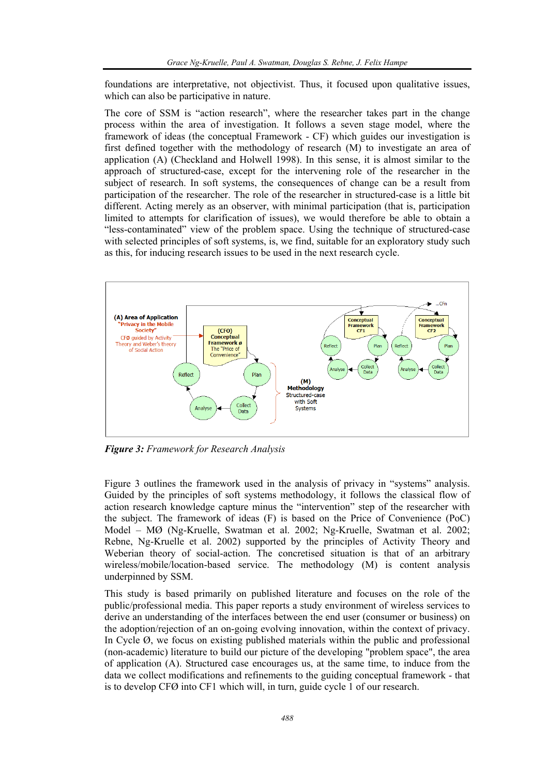foundations are interpretative, not objectivist. Thus, it focused upon qualitative issues, which can also be participative in nature.

The core of SSM is "action research", where the researcher takes part in the change process within the area of investigation. It follows a seven stage model, where the framework of ideas (the conceptual Framework - CF) which guides our investigation is first defined together with the methodology of research (M) to investigate an area of application (A) (Checkland and Holwell 1998). In this sense, it is almost similar to the approach of structured-case, except for the intervening role of the researcher in the subject of research. In soft systems, the consequences of change can be a result from participation of the researcher. The role of the researcher in structured-case is a little bit different. Acting merely as an observer, with minimal participation (that is, participation limited to attempts for clarification of issues), we would therefore be able to obtain a "less-contaminated" view of the problem space. Using the technique of structured-case with selected principles of soft systems, is, we find, suitable for an exploratory study such as this, for inducing research issues to be used in the next research cycle.



*Figure 3: Framework for Research Analysis* 

Figure 3 outlines the framework used in the analysis of privacy in "systems" analysis. Guided by the principles of soft systems methodology, it follows the classical flow of action research knowledge capture minus the "intervention" step of the researcher with the subject. The framework of ideas (F) is based on the Price of Convenience (PoC) Model – MØ (Ng-Kruelle, Swatman et al. 2002; Ng-Kruelle, Swatman et al. 2002; Rebne, Ng-Kruelle et al. 2002) supported by the principles of Activity Theory and Weberian theory of social-action. The concretised situation is that of an arbitrary wireless/mobile/location-based service. The methodology (M) is content analysis underpinned by SSM.

This study is based primarily on published literature and focuses on the role of the public/professional media. This paper reports a study environment of wireless services to derive an understanding of the interfaces between the end user (consumer or business) on the adoption/rejection of an on-going evolving innovation, within the context of privacy. In Cycle  $\varnothing$ , we focus on existing published materials within the public and professional (non-academic) literature to build our picture of the developing "problem space", the area of application (A). Structured case encourages us, at the same time, to induce from the data we collect modifications and refinements to the guiding conceptual framework - that is to develop CFØ into CF1 which will, in turn, guide cycle 1 of our research.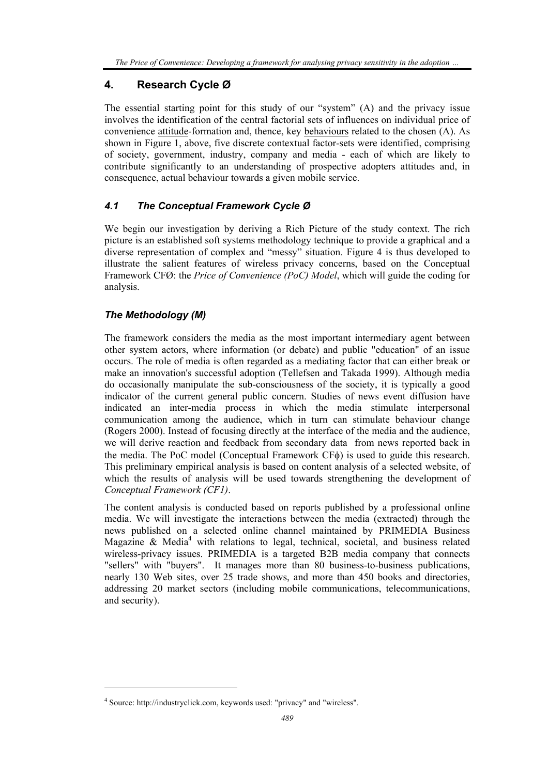# **4. Research Cycle Ø**

The essential starting point for this study of our "system" (A) and the privacy issue involves the identification of the central factorial sets of influences on individual price of convenience attitude-formation and, thence, key behaviours related to the chosen (A). As shown in Figure 1, above, five discrete contextual factor-sets were identified, comprising of society, government, industry, company and media - each of which are likely to contribute significantly to an understanding of prospective adopters attitudes and, in consequence, actual behaviour towards a given mobile service.

# *4.1 The Conceptual Framework Cycle Ø*

We begin our investigation by deriving a Rich Picture of the study context. The rich picture is an established soft systems methodology technique to provide a graphical and a diverse representation of complex and "messy" situation. Figure 4 is thus developed to illustrate the salient features of wireless privacy concerns, based on the Conceptual Framework CFØ: the *Price of Convenience (PoC) Model*, which will guide the coding for analysis.

# *The Methodology (M)*

l

The framework considers the media as the most important intermediary agent between other system actors, where information (or debate) and public "education" of an issue occurs. The role of media is often regarded as a mediating factor that can either break or make an innovation's successful adoption (Tellefsen and Takada 1999). Although media do occasionally manipulate the sub-consciousness of the society, it is typically a good indicator of the current general public concern. Studies of news event diffusion have indicated an inter-media process in which the media stimulate interpersonal communication among the audience, which in turn can stimulate behaviour change (Rogers 2000). Instead of focusing directly at the interface of the media and the audience, we will derive reaction and feedback from secondary data from news reported back in the media. The PoC model (Conceptual Framework CFφ) is used to guide this research. This preliminary empirical analysis is based on content analysis of a selected website, of which the results of analysis will be used towards strengthening the development of *Conceptual Framework (CF1)*.

The content analysis is conducted based on reports published by a professional online media. We will investigate the interactions between the media (extracted) through the news published on a selected online channel maintained by PRIMEDIA Business Magazine  $\&$  Media<sup>4</sup> with relations to legal, technical, societal, and business related wireless-privacy issues. PRIMEDIA is a targeted B2B media company that connects "sellers" with "buyers". It manages more than 80 business-to-business publications, nearly 130 Web sites, over 25 trade shows, and more than 450 books and directories, addressing 20 market sectors (including mobile communications, telecommunications, and security).

<sup>4</sup> Source: http://industryclick.com, keywords used: "privacy" and "wireless".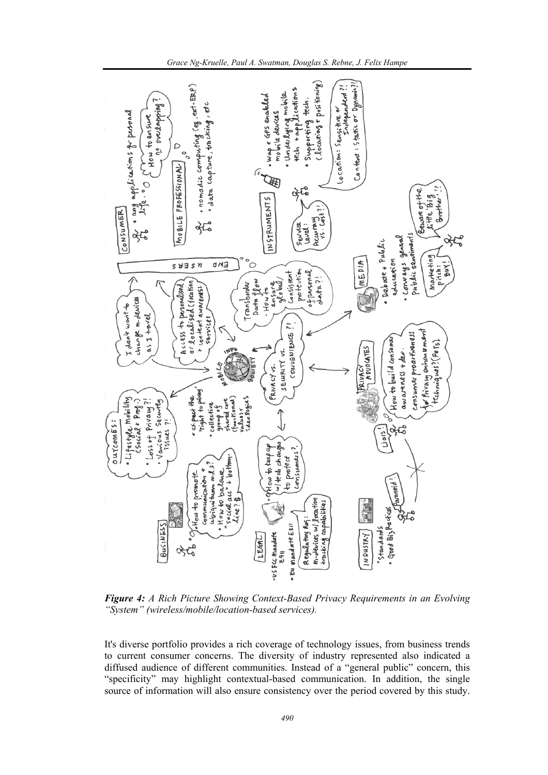

*Grace Ng-Kruelle, Paul A. Swatman, Douglas S. Rebne, J. Felix Hampe* 

*Figure 4: A Rich Picture Showing Context-Based Privacy Requirements in an Evolving "System" (wireless/mobile/location-based services).* 

It's diverse portfolio provides a rich coverage of technology issues, from business trends to current consumer concerns. The diversity of industry represented also indicated a diffused audience of different communities. Instead of a "general public" concern, this "specificity" may highlight contextual-based communication. In addition, the single source of information will also ensure consistency over the period covered by this study.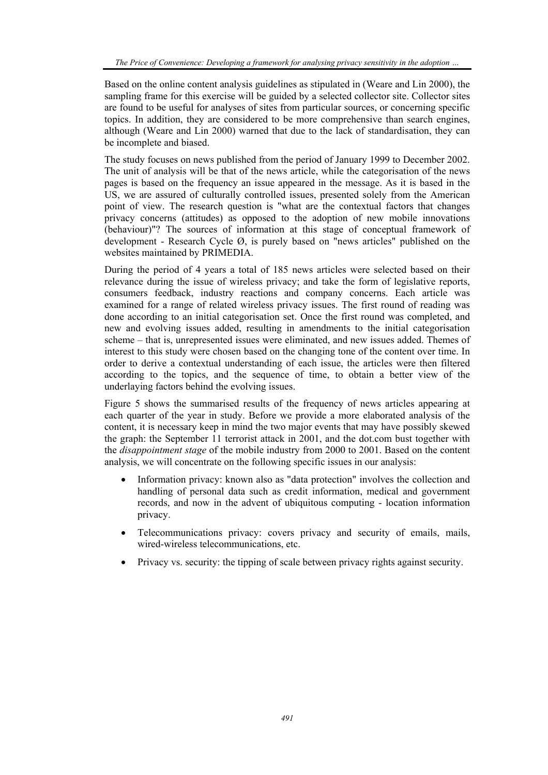Based on the online content analysis guidelines as stipulated in (Weare and Lin 2000), the sampling frame for this exercise will be guided by a selected collector site. Collector sites are found to be useful for analyses of sites from particular sources, or concerning specific topics. In addition, they are considered to be more comprehensive than search engines, although (Weare and Lin 2000) warned that due to the lack of standardisation, they can be incomplete and biased.

The study focuses on news published from the period of January 1999 to December 2002. The unit of analysis will be that of the news article, while the categorisation of the news pages is based on the frequency an issue appeared in the message. As it is based in the US, we are assured of culturally controlled issues, presented solely from the American point of view. The research question is "what are the contextual factors that changes privacy concerns (attitudes) as opposed to the adoption of new mobile innovations (behaviour)"? The sources of information at this stage of conceptual framework of development - Research Cycle Ø, is purely based on "news articles" published on the websites maintained by PRIMEDIA.

During the period of 4 years a total of 185 news articles were selected based on their relevance during the issue of wireless privacy; and take the form of legislative reports, consumers feedback, industry reactions and company concerns. Each article was examined for a range of related wireless privacy issues. The first round of reading was done according to an initial categorisation set. Once the first round was completed, and new and evolving issues added, resulting in amendments to the initial categorisation scheme – that is, unrepresented issues were eliminated, and new issues added. Themes of interest to this study were chosen based on the changing tone of the content over time. In order to derive a contextual understanding of each issue, the articles were then filtered according to the topics, and the sequence of time, to obtain a better view of the underlaying factors behind the evolving issues.

Figure 5 shows the summarised results of the frequency of news articles appearing at each quarter of the year in study. Before we provide a more elaborated analysis of the content, it is necessary keep in mind the two major events that may have possibly skewed the graph: the September 11 terrorist attack in 2001, and the dot.com bust together with the *disappointment stage* of the mobile industry from 2000 to 2001. Based on the content analysis, we will concentrate on the following specific issues in our analysis:

- Information privacy: known also as "data protection" involves the collection and handling of personal data such as credit information, medical and government records, and now in the advent of ubiquitous computing - location information privacy.
- Telecommunications privacy: covers privacy and security of emails, mails, wired-wireless telecommunications, etc.
- Privacy vs. security: the tipping of scale between privacy rights against security.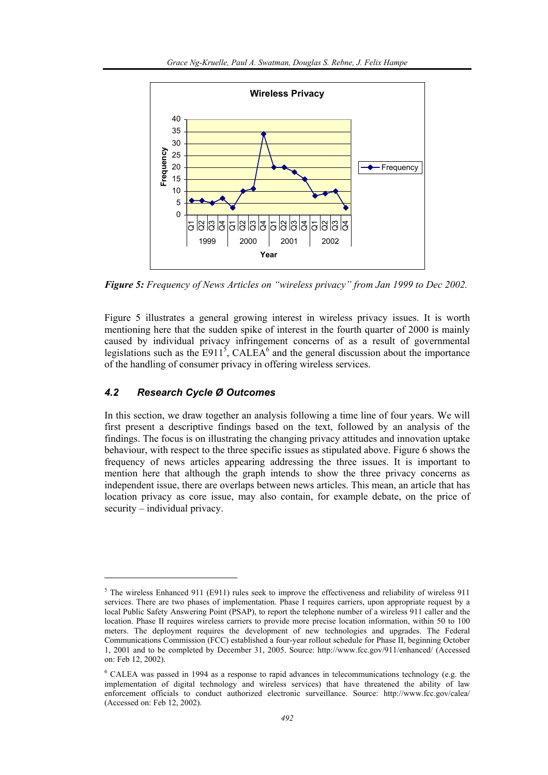

*Figure 5: Frequency of News Articles on "wireless privacy" from Jan 1999 to Dec 2002.* 

Figure 5 illustrates a general growing interest in wireless privacy issues. It is worth mentioning here that the sudden spike of interest in the fourth quarter of 2000 is mainly caused by individual privacy infringement concerns of as a result of governmental legislations such as the  $E911^5$ , CALEA<sup>6</sup> and the general discussion about the importance of the handling of consumer privacy in offering wireless services.

### *4.2 Research Cycle Ø Outcomes*

l

In this section, we draw together an analysis following a time line of four years. We will first present a descriptive findings based on the text, followed by an analysis of the findings. The focus is on illustrating the changing privacy attitudes and innovation uptake behaviour, with respect to the three specific issues as stipulated above. Figure 6 shows the frequency of news articles appearing addressing the three issues. It is important to mention here that although the graph intends to show the three privacy concerns as independent issue, there are overlaps between news articles. This mean, an article that has location privacy as core issue, may also contain, for example debate, on the price of security – individual privacy.

 $5$  The wireless Enhanced 911 (E911) rules seek to improve the effectiveness and reliability of wireless 911 services. There are two phases of implementation. Phase I requires carriers, upon appropriate request by a local Public Safety Answering Point (PSAP), to report the telephone number of a wireless 911 caller and the location. Phase II requires wireless carriers to provide more precise location information, within 50 to 100 meters. The deployment requires the development of new technologies and upgrades. The Federal Communications Commission (FCC) established a four-year rollout schedule for Phase II, beginning October 1, 2001 and to be completed by December 31, 2005. Source: http://www.fcc.gov/911/enhanced/ (Accessed on: Feb 12, 2002).

<sup>&</sup>lt;sup>6</sup> CALEA was passed in 1994 as a response to rapid advances in telecommunications technology (e.g. the implementation of digital technology and wireless services) that have threatened the ability of law enforcement officials to conduct authorized electronic surveillance. Source: http://www.fcc.gov/calea/ (Accessed on: Feb 12, 2002).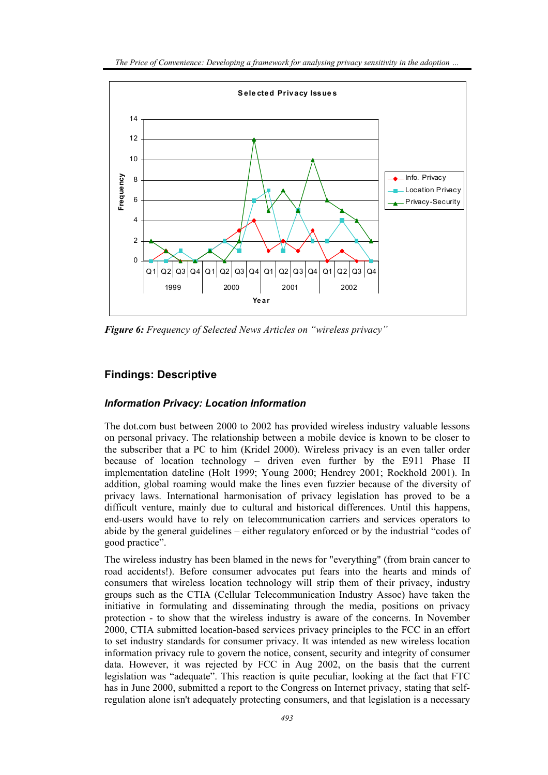

*Figure 6: Frequency of Selected News Articles on "wireless privacy"* 

# **Findings: Descriptive**

### *Information Privacy: Location Information*

The dot.com bust between 2000 to 2002 has provided wireless industry valuable lessons on personal privacy. The relationship between a mobile device is known to be closer to the subscriber that a PC to him (Kridel 2000). Wireless privacy is an even taller order because of location technology – driven even further by the E911 Phase II implementation dateline (Holt 1999; Young 2000; Hendrey 2001; Rockhold 2001). In addition, global roaming would make the lines even fuzzier because of the diversity of privacy laws. International harmonisation of privacy legislation has proved to be a difficult venture, mainly due to cultural and historical differences. Until this happens, end-users would have to rely on telecommunication carriers and services operators to abide by the general guidelines – either regulatory enforced or by the industrial "codes of good practice".

The wireless industry has been blamed in the news for "everything" (from brain cancer to road accidents!). Before consumer advocates put fears into the hearts and minds of consumers that wireless location technology will strip them of their privacy, industry groups such as the CTIA (Cellular Telecommunication Industry Assoc) have taken the initiative in formulating and disseminating through the media, positions on privacy protection - to show that the wireless industry is aware of the concerns. In November 2000, CTIA submitted location-based services privacy principles to the FCC in an effort to set industry standards for consumer privacy. It was intended as new wireless location information privacy rule to govern the notice, consent, security and integrity of consumer data. However, it was rejected by FCC in Aug 2002, on the basis that the current legislation was "adequate". This reaction is quite peculiar, looking at the fact that FTC has in June 2000, submitted a report to the Congress on Internet privacy, stating that selfregulation alone isn't adequately protecting consumers, and that legislation is a necessary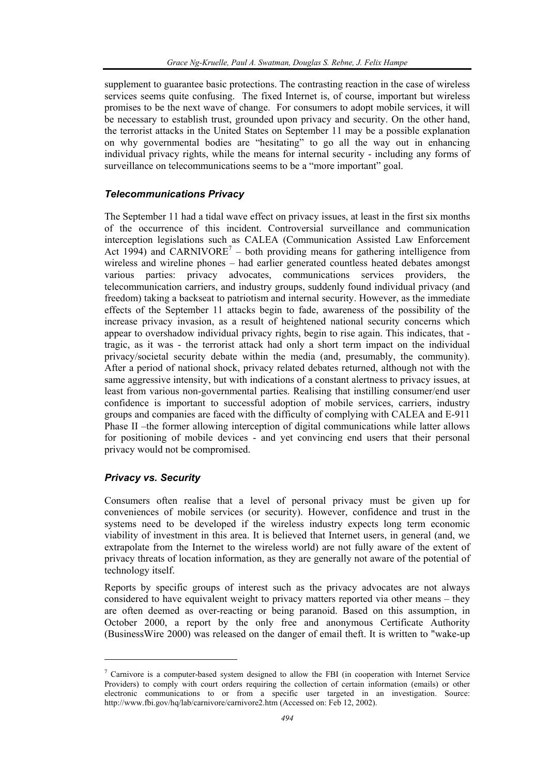supplement to guarantee basic protections. The contrasting reaction in the case of wireless services seems quite confusing. The fixed Internet is, of course, important but wireless promises to be the next wave of change. For consumers to adopt mobile services, it will be necessary to establish trust, grounded upon privacy and security. On the other hand, the terrorist attacks in the United States on September 11 may be a possible explanation on why governmental bodies are "hesitating" to go all the way out in enhancing individual privacy rights, while the means for internal security - including any forms of surveillance on telecommunications seems to be a "more important" goal.

### *Telecommunications Privacy*

The September 11 had a tidal wave effect on privacy issues, at least in the first six months of the occurrence of this incident. Controversial surveillance and communication interception legislations such as CALEA (Communication Assisted Law Enforcement Act 1994) and CARNIVORE<sup>7</sup> – both providing means for gathering intelligence from wireless and wireline phones – had earlier generated countless heated debates amongst various parties: privacy advocates, communications services providers, the telecommunication carriers, and industry groups, suddenly found individual privacy (and freedom) taking a backseat to patriotism and internal security. However, as the immediate effects of the September 11 attacks begin to fade, awareness of the possibility of the increase privacy invasion, as a result of heightened national security concerns which appear to overshadow individual privacy rights, begin to rise again. This indicates, that tragic, as it was - the terrorist attack had only a short term impact on the individual privacy/societal security debate within the media (and, presumably, the community). After a period of national shock, privacy related debates returned, although not with the same aggressive intensity, but with indications of a constant alertness to privacy issues, at least from various non-governmental parties. Realising that instilling consumer/end user confidence is important to successful adoption of mobile services, carriers, industry groups and companies are faced with the difficulty of complying with CALEA and E-911 Phase II –the former allowing interception of digital communications while latter allows for positioning of mobile devices - and yet convincing end users that their personal privacy would not be compromised.

#### *Privacy vs. Security*

l

Consumers often realise that a level of personal privacy must be given up for conveniences of mobile services (or security). However, confidence and trust in the systems need to be developed if the wireless industry expects long term economic viability of investment in this area. It is believed that Internet users, in general (and, we extrapolate from the Internet to the wireless world) are not fully aware of the extent of privacy threats of location information, as they are generally not aware of the potential of technology itself.

Reports by specific groups of interest such as the privacy advocates are not always considered to have equivalent weight to privacy matters reported via other means – they are often deemed as over-reacting or being paranoid. Based on this assumption, in October 2000, a report by the only free and anonymous Certificate Authority (BusinessWire 2000) was released on the danger of email theft. It is written to "wake-up

 $7$  Carnivore is a computer-based system designed to allow the FBI (in cooperation with Internet Service Providers) to comply with court orders requiring the collection of certain information (emails) or other electronic communications to or from a specific user targeted in an investigation. Source: http://www.fbi.gov/hq/lab/carnivore/carnivore2.htm (Accessed on: Feb 12, 2002).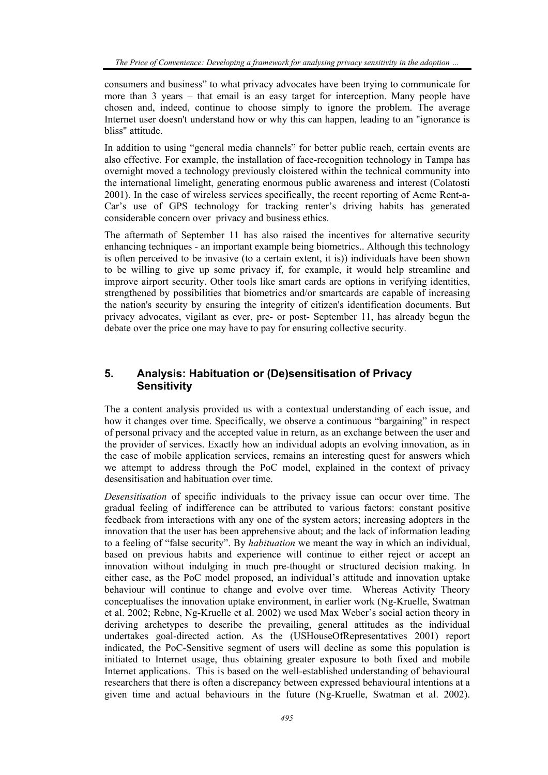consumers and business" to what privacy advocates have been trying to communicate for more than 3 years – that email is an easy target for interception. Many people have chosen and, indeed, continue to choose simply to ignore the problem. The average Internet user doesn't understand how or why this can happen, leading to an "ignorance is bliss" attitude.

In addition to using "general media channels" for better public reach, certain events are also effective. For example, the installation of face-recognition technology in Tampa has overnight moved a technology previously cloistered within the technical community into the international limelight, generating enormous public awareness and interest (Colatosti 2001). In the case of wireless services specifically, the recent reporting of Acme Rent-a-Car's use of GPS technology for tracking renter's driving habits has generated considerable concern over privacy and business ethics.

The aftermath of September 11 has also raised the incentives for alternative security enhancing techniques - an important example being biometrics.. Although this technology is often perceived to be invasive (to a certain extent, it is)) individuals have been shown to be willing to give up some privacy if, for example, it would help streamline and improve airport security. Other tools like smart cards are options in verifying identities, strengthened by possibilities that biometrics and/or smartcards are capable of increasing the nation's security by ensuring the integrity of citizen's identification documents. But privacy advocates, vigilant as ever, pre- or post- September 11, has already begun the debate over the price one may have to pay for ensuring collective security.

# **5. Analysis: Habituation or (De)sensitisation of Privacy Sensitivity**

The a content analysis provided us with a contextual understanding of each issue, and how it changes over time. Specifically, we observe a continuous "bargaining" in respect of personal privacy and the accepted value in return, as an exchange between the user and the provider of services. Exactly how an individual adopts an evolving innovation, as in the case of mobile application services, remains an interesting quest for answers which we attempt to address through the PoC model, explained in the context of privacy desensitisation and habituation over time.

*Desensitisation* of specific individuals to the privacy issue can occur over time. The gradual feeling of indifference can be attributed to various factors: constant positive feedback from interactions with any one of the system actors; increasing adopters in the innovation that the user has been apprehensive about; and the lack of information leading to a feeling of "false security". By *habituation* we meant the way in which an individual, based on previous habits and experience will continue to either reject or accept an innovation without indulging in much pre-thought or structured decision making. In either case, as the PoC model proposed, an individual's attitude and innovation uptake behaviour will continue to change and evolve over time. Whereas Activity Theory conceptualises the innovation uptake environment, in earlier work (Ng-Kruelle, Swatman et al. 2002; Rebne, Ng-Kruelle et al. 2002) we used Max Weber's social action theory in deriving archetypes to describe the prevailing, general attitudes as the individual undertakes goal-directed action. As the (USHouseOfRepresentatives 2001) report indicated, the PoC-Sensitive segment of users will decline as some this population is initiated to Internet usage, thus obtaining greater exposure to both fixed and mobile Internet applications. This is based on the well-established understanding of behavioural researchers that there is often a discrepancy between expressed behavioural intentions at a given time and actual behaviours in the future (Ng-Kruelle, Swatman et al. 2002).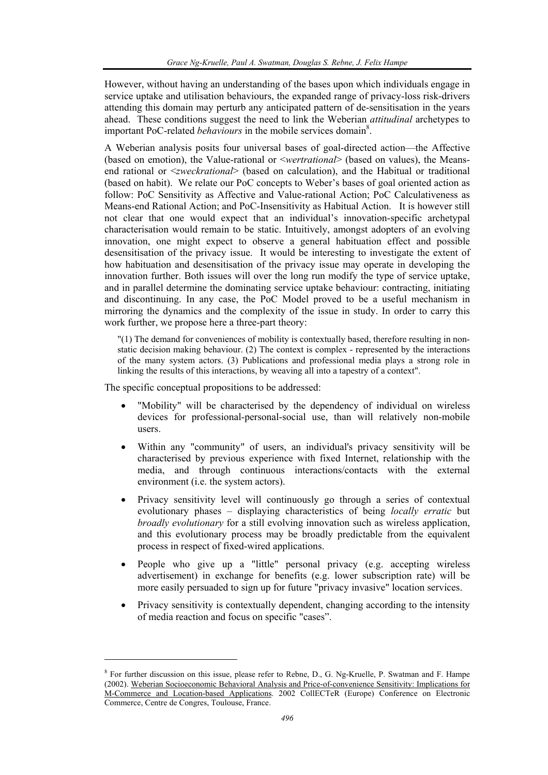However, without having an understanding of the bases upon which individuals engage in service uptake and utilisation behaviours, the expanded range of privacy-loss risk-drivers attending this domain may perturb any anticipated pattern of de-sensitisation in the years ahead. These conditions suggest the need to link the Weberian *attitudinal* archetypes to important PoC-related *behaviours* in the mobile services domain<sup>8</sup>.

A Weberian analysis posits four universal bases of goal-directed action—the Affective (based on emotion), the Value-rational or <*wertrational*> (based on values), the Meansend rational or <*zweckrational*> (based on calculation), and the Habitual or traditional (based on habit). We relate our PoC concepts to Weber's bases of goal oriented action as follow: PoC Sensitivity as Affective and Value-rational Action; PoC Calculativeness as Means-end Rational Action; and PoC-Insensitivity as Habitual Action. It is however still not clear that one would expect that an individual's innovation-specific archetypal characterisation would remain to be static. Intuitively, amongst adopters of an evolving innovation, one might expect to observe a general habituation effect and possible desensitisation of the privacy issue. It would be interesting to investigate the extent of how habituation and desensitisation of the privacy issue may operate in developing the innovation further. Both issues will over the long run modify the type of service uptake, and in parallel determine the dominating service uptake behaviour: contracting, initiating and discontinuing. In any case, the PoC Model proved to be a useful mechanism in mirroring the dynamics and the complexity of the issue in study. In order to carry this work further, we propose here a three-part theory:

"(1) The demand for conveniences of mobility is contextually based, therefore resulting in nonstatic decision making behaviour. (2) The context is complex - represented by the interactions of the many system actors. (3) Publications and professional media plays a strong role in linking the results of this interactions, by weaving all into a tapestry of a context".

The specific conceptual propositions to be addressed:

l

- "Mobility" will be characterised by the dependency of individual on wireless devices for professional-personal-social use, than will relatively non-mobile users.
- Within any "community" of users, an individual's privacy sensitivity will be characterised by previous experience with fixed Internet, relationship with the media, and through continuous interactions/contacts with the external environment (i.e. the system actors).
- Privacy sensitivity level will continuously go through a series of contextual evolutionary phases – displaying characteristics of being *locally erratic* but *broadly evolutionary* for a still evolving innovation such as wireless application, and this evolutionary process may be broadly predictable from the equivalent process in respect of fixed-wired applications.
- People who give up a "little" personal privacy (e.g. accepting wireless advertisement) in exchange for benefits (e.g. lower subscription rate) will be more easily persuaded to sign up for future "privacy invasive" location services.
- Privacy sensitivity is contextually dependent, changing according to the intensity of media reaction and focus on specific "cases".

<sup>&</sup>lt;sup>8</sup> For further discussion on this issue, please refer to Rebne, D., G. Ng-Kruelle, P. Swatman and F. Hampe (2002). Weberian Socioeconomic Behavioral Analysis and Price-of-convenience Sensitivity: Implications for M-Commerce and Location-based Applications. 2002 CollECTeR (Europe) Conference on Electronic Commerce, Centre de Congres, Toulouse, France.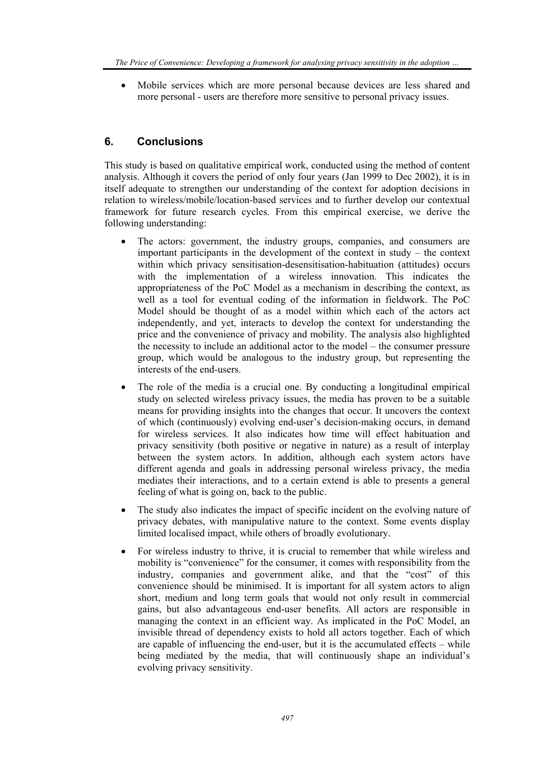• Mobile services which are more personal because devices are less shared and more personal - users are therefore more sensitive to personal privacy issues.

# **6. Conclusions**

This study is based on qualitative empirical work, conducted using the method of content analysis. Although it covers the period of only four years (Jan 1999 to Dec 2002), it is in itself adequate to strengthen our understanding of the context for adoption decisions in relation to wireless/mobile/location-based services and to further develop our contextual framework for future research cycles. From this empirical exercise, we derive the following understanding:

- The actors: government, the industry groups, companies, and consumers are important participants in the development of the context in study – the context within which privacy sensitisation-desensitisation-habituation (attitudes) occurs with the implementation of a wireless innovation. This indicates the appropriateness of the PoC Model as a mechanism in describing the context, as well as a tool for eventual coding of the information in fieldwork. The PoC Model should be thought of as a model within which each of the actors act independently, and yet, interacts to develop the context for understanding the price and the convenience of privacy and mobility. The analysis also highlighted the necessity to include an additional actor to the model – the consumer pressure group, which would be analogous to the industry group, but representing the interests of the end-users.
- The role of the media is a crucial one. By conducting a longitudinal empirical study on selected wireless privacy issues, the media has proven to be a suitable means for providing insights into the changes that occur. It uncovers the context of which (continuously) evolving end-user's decision-making occurs, in demand for wireless services. It also indicates how time will effect habituation and privacy sensitivity (both positive or negative in nature) as a result of interplay between the system actors. In addition, although each system actors have different agenda and goals in addressing personal wireless privacy, the media mediates their interactions, and to a certain extend is able to presents a general feeling of what is going on, back to the public.
- The study also indicates the impact of specific incident on the evolving nature of privacy debates, with manipulative nature to the context. Some events display limited localised impact, while others of broadly evolutionary.
- For wireless industry to thrive, it is crucial to remember that while wireless and mobility is "convenience" for the consumer, it comes with responsibility from the industry, companies and government alike, and that the "cost" of this convenience should be minimised. It is important for all system actors to align short, medium and long term goals that would not only result in commercial gains, but also advantageous end-user benefits. All actors are responsible in managing the context in an efficient way. As implicated in the PoC Model, an invisible thread of dependency exists to hold all actors together. Each of which are capable of influencing the end-user, but it is the accumulated effects – while being mediated by the media, that will continuously shape an individual's evolving privacy sensitivity.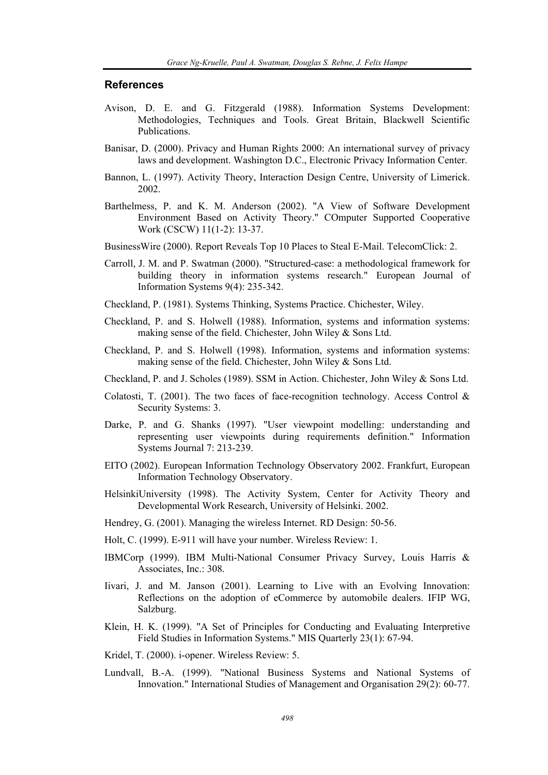#### **References**

- Avison, D. E. and G. Fitzgerald (1988). Information Systems Development: Methodologies, Techniques and Tools. Great Britain, Blackwell Scientific Publications.
- Banisar, D. (2000). Privacy and Human Rights 2000: An international survey of privacy laws and development. Washington D.C., Electronic Privacy Information Center.
- Bannon, L. (1997). Activity Theory, Interaction Design Centre, University of Limerick. 2002.
- Barthelmess, P. and K. M. Anderson (2002). "A View of Software Development Environment Based on Activity Theory." COmputer Supported Cooperative Work (CSCW) 11(1-2): 13-37.
- BusinessWire (2000). Report Reveals Top 10 Places to Steal E-Mail. TelecomClick: 2.
- Carroll, J. M. and P. Swatman (2000). "Structured-case: a methodological framework for building theory in information systems research." European Journal of Information Systems 9(4): 235-342.
- Checkland, P. (1981). Systems Thinking, Systems Practice. Chichester, Wiley.
- Checkland, P. and S. Holwell (1988). Information, systems and information systems: making sense of the field. Chichester, John Wiley & Sons Ltd.
- Checkland, P. and S. Holwell (1998). Information, systems and information systems: making sense of the field. Chichester, John Wiley & Sons Ltd.
- Checkland, P. and J. Scholes (1989). SSM in Action. Chichester, John Wiley & Sons Ltd.
- Colatosti, T. (2001). The two faces of face-recognition technology. Access Control  $\&$ Security Systems: 3.
- Darke, P. and G. Shanks (1997). "User viewpoint modelling: understanding and representing user viewpoints during requirements definition." Information Systems Journal 7: 213-239.
- EITO (2002). European Information Technology Observatory 2002. Frankfurt, European Information Technology Observatory.
- HelsinkiUniversity (1998). The Activity System, Center for Activity Theory and Developmental Work Research, University of Helsinki. 2002.
- Hendrey, G. (2001). Managing the wireless Internet. RD Design: 50-56.
- Holt, C. (1999). E-911 will have your number. Wireless Review: 1.
- IBMCorp (1999). IBM Multi-National Consumer Privacy Survey, Louis Harris & Associates, Inc.: 308.
- Iivari, J. and M. Janson (2001). Learning to Live with an Evolving Innovation: Reflections on the adoption of eCommerce by automobile dealers. IFIP WG, Salzburg.
- Klein, H. K. (1999). "A Set of Principles for Conducting and Evaluating Interpretive Field Studies in Information Systems." MIS Quarterly 23(1): 67-94.
- Kridel, T. (2000). i-opener. Wireless Review: 5.
- Lundvall, B.-A. (1999). "National Business Systems and National Systems of Innovation." International Studies of Management and Organisation 29(2): 60-77.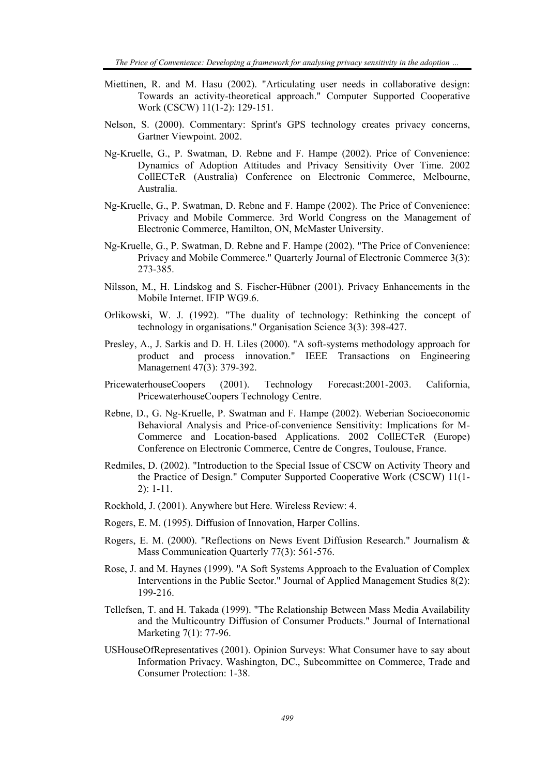- Miettinen, R. and M. Hasu (2002). "Articulating user needs in collaborative design: Towards an activity-theoretical approach." Computer Supported Cooperative Work (CSCW) 11(1-2): 129-151.
- Nelson, S. (2000). Commentary: Sprint's GPS technology creates privacy concerns, Gartner Viewpoint. 2002.
- Ng-Kruelle, G., P. Swatman, D. Rebne and F. Hampe (2002). Price of Convenience: Dynamics of Adoption Attitudes and Privacy Sensitivity Over Time. 2002 CollECTeR (Australia) Conference on Electronic Commerce, Melbourne, Australia.
- Ng-Kruelle, G., P. Swatman, D. Rebne and F. Hampe (2002). The Price of Convenience: Privacy and Mobile Commerce. 3rd World Congress on the Management of Electronic Commerce, Hamilton, ON, McMaster University.
- Ng-Kruelle, G., P. Swatman, D. Rebne and F. Hampe (2002). "The Price of Convenience: Privacy and Mobile Commerce." Quarterly Journal of Electronic Commerce 3(3): 273-385.
- Nilsson, M., H. Lindskog and S. Fischer-Hübner (2001). Privacy Enhancements in the Mobile Internet. IFIP WG9.6.
- Orlikowski, W. J. (1992). "The duality of technology: Rethinking the concept of technology in organisations." Organisation Science 3(3): 398-427.
- Presley, A., J. Sarkis and D. H. Liles (2000). "A soft-systems methodology approach for product and process innovation." IEEE Transactions on Engineering Management 47(3): 379-392.
- PricewaterhouseCoopers (2001). Technology Forecast:2001-2003. California, PricewaterhouseCoopers Technology Centre.
- Rebne, D., G. Ng-Kruelle, P. Swatman and F. Hampe (2002). Weberian Socioeconomic Behavioral Analysis and Price-of-convenience Sensitivity: Implications for M-Commerce and Location-based Applications. 2002 CollECTeR (Europe) Conference on Electronic Commerce, Centre de Congres, Toulouse, France.
- Redmiles, D. (2002). "Introduction to the Special Issue of CSCW on Activity Theory and the Practice of Design." Computer Supported Cooperative Work (CSCW) 11(1- 2): 1-11.
- Rockhold, J. (2001). Anywhere but Here. Wireless Review: 4.
- Rogers, E. M. (1995). Diffusion of Innovation, Harper Collins.
- Rogers, E. M. (2000). "Reflections on News Event Diffusion Research." Journalism & Mass Communication Quarterly 77(3): 561-576.
- Rose, J. and M. Haynes (1999). "A Soft Systems Approach to the Evaluation of Complex Interventions in the Public Sector." Journal of Applied Management Studies  $\hat{8}(2)$ : 199-216.
- Tellefsen, T. and H. Takada (1999). "The Relationship Between Mass Media Availability and the Multicountry Diffusion of Consumer Products." Journal of International Marketing 7(1): 77-96.
- USHouseOfRepresentatives (2001). Opinion Surveys: What Consumer have to say about Information Privacy. Washington, DC., Subcommittee on Commerce, Trade and Consumer Protection: 1-38.